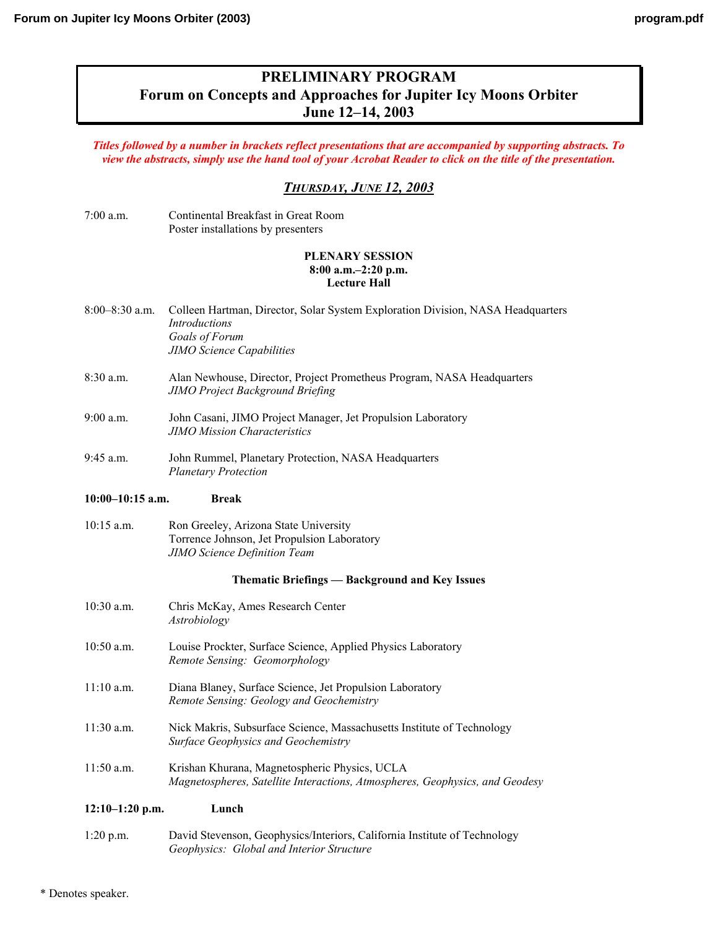# **PRELIMINARY PROGRAM Forum on Concepts and Approaches for Jupiter Icy Moons Orbiter June 12–14, 2003**

*Titles followed by a number in brackets reflect presentations that are accompanied by supporting abstracts. To view the abstracts, simply use the hand tool of your Acrobat Reader to click on the title of the presentation.* 

## *THURSDAY, JUNE 12, 2003*

| $7:00$ a.m. | Continental Breakfast in Great Room |
|-------------|-------------------------------------|
|             | Poster installations by presenters  |

## **PLENARY SESSION 8:00 a.m.–2:20 p.m. Lecture Hall**

- 8:00–8:30 a.m. Colleen Hartman, Director, Solar System Exploration Division, NASA Headquarters *Introductions Goals of Forum JIMO Science Capabilities*
- 8:30 a.m. Alan Newhouse, Director, Project Prometheus Program, NASA Headquarters *JIMO Project Background Briefing*
- 9:00 a.m. John Casani, JIMO Project Manager, Jet Propulsion Laboratory *JIMO Mission Characteristics*
- 9:45 a.m. John Rummel, Planetary Protection, NASA Headquarters *Planetary Protection*

## **10:00–10:15 a.m. Break**

10:15 a.m. Ron Greeley, Arizona State University Torrence Johnson, Jet Propulsion Laboratory *JIMO Science Definition Team* 

### **Thematic Briefings — Background and Key Issues**

| $10:30$ a.m.      | Chris McKay, Ames Research Center<br>Astrobiology                                                                             |
|-------------------|-------------------------------------------------------------------------------------------------------------------------------|
| $10:50$ a.m.      | Louise Prockter, Surface Science, Applied Physics Laboratory<br>Remote Sensing: Geomorphology                                 |
| $11:10$ a.m.      | Diana Blaney, Surface Science, Jet Propulsion Laboratory<br>Remote Sensing: Geology and Geochemistry                          |
| $11:30$ a.m.      | Nick Makris, Subsurface Science, Massachusetts Institute of Technology<br><b>Surface Geophysics and Geochemistry</b>          |
| $11:50$ a.m.      | Krishan Khurana, Magnetospheric Physics, UCLA<br>Magnetospheres, Satellite Interactions, Atmospheres, Geophysics, and Geodesy |
| $12:10-1:20$ p.m. | Lunch                                                                                                                         |
| $1:20$ p.m.       | David Stevenson, Geophysics/Interiors, California Institute of Technology                                                     |

 *Geophysics: Global and Interior Structure*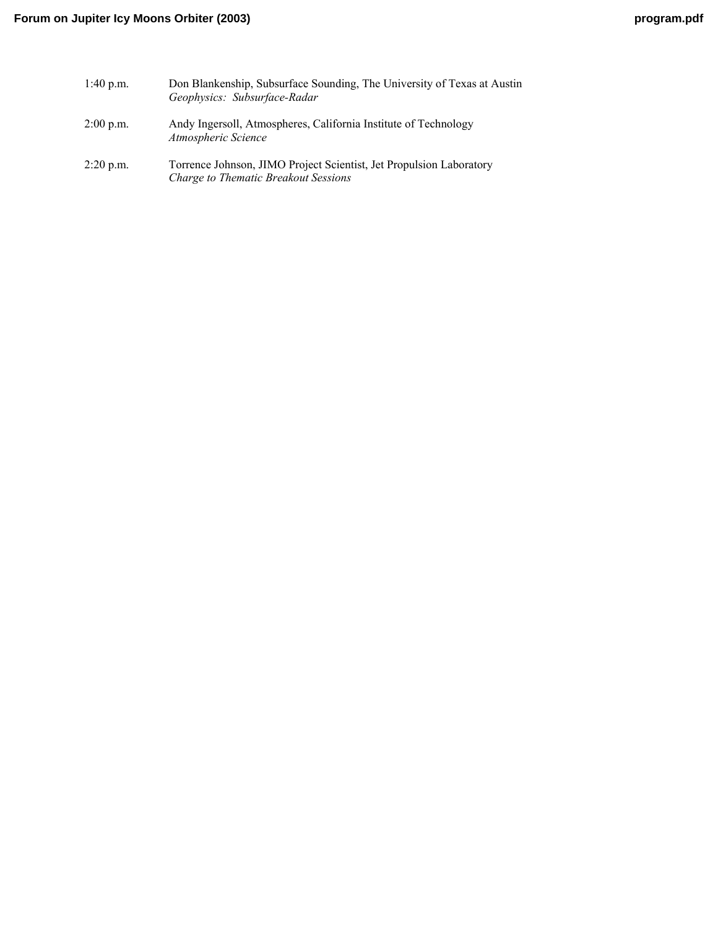| $1:40$ p.m. | Don Blankenship, Subsurface Sounding, The University of Texas at Austin<br>Geophysics: Subsurface-Radar     |
|-------------|-------------------------------------------------------------------------------------------------------------|
| $2:00$ p.m. | Andy Ingersoll, Atmospheres, California Institute of Technology<br>Atmospheric Science                      |
| $2:20$ p.m. | Torrence Johnson, JIMO Project Scientist, Jet Propulsion Laboratory<br>Charge to Thematic Breakout Sessions |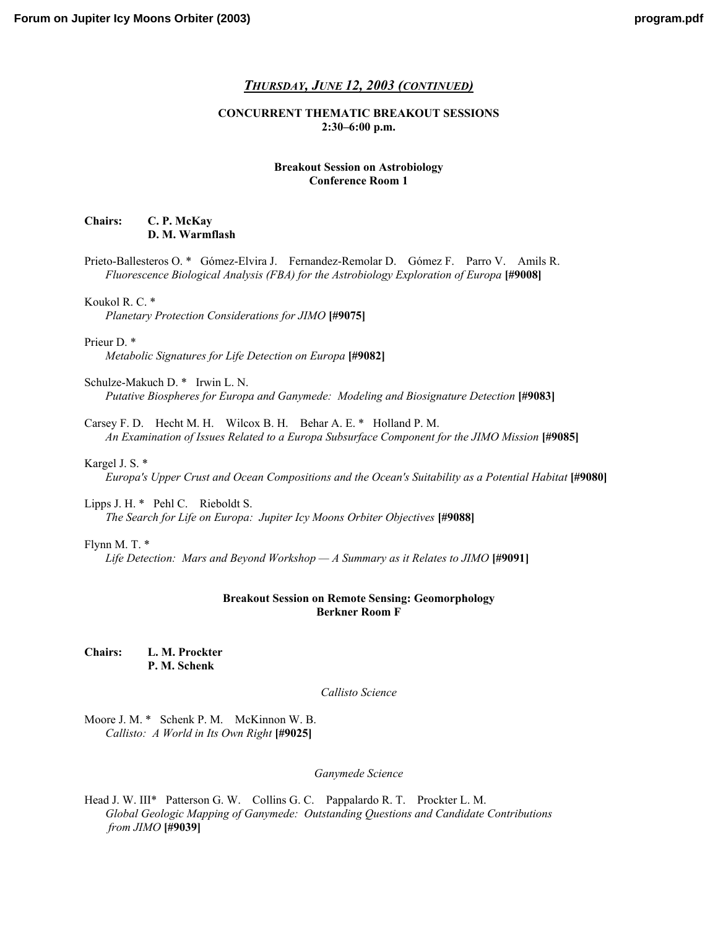## *THURSDAY, JUNE 12, 2003 (CONTINUED)*

## **CONCURRENT THEMATIC BREAKOUT SESSIONS 2:30–6:00 p.m.**

## **Breakout Session on Astrobiology Conference Room 1**

## **Chairs: C. P. McKay D. M. Warmflash**

[Prieto-Ballesteros O. \\* Gómez-Elvira J. Fernandez-Remolar D. Gómez F. Parro V. Amils R.](http://www.lpi.usra.edu/meetings/jimo2003/pdf/9008.pdf)  *Fluorescence Biological Analysis (FBA) for the Astrobiology Exploration of Europa* **[#9008]**

Koukol R. C. \*

*[Planetary Protection Considerations for JIMO](http://www.lpi.usra.edu/meetings/jimo2003/pdf/9075.pdf)* **[#9075]**

Prieur D. \*

*[Metabolic Signatures for Life Detection on Europa](http://www.lpi.usra.edu/meetings/jimo2003/pdf/9082.pdf)* **[#9082]**

Schulze-Makuch D. \* Irwin L. N. *[Putative Biospheres for Europa and Ganymede: Modeling and Biosignature Detection](http://www.lpi.usra.edu/meetings/jimo2003/pdf/9083.pdf)* **[#9083]**

Carsey F. D. Hecht M. H. Wilcox B. H. Behar A. E. \* Holland P. M. *[An Examination of Issues Related to a Europa Subsurface Component for the JIMO Mission](http://www.lpi.usra.edu/meetings/jimo2003/pdf/9085.pdf)* **[#9085]**

Kargel J. S. \*

*[Europa's Upper Crust and Ocean Compositions and the Ocean's Suitability as a Potential Habitat](http://www.lpi.usra.edu/meetings/jimo2003/pdf/9080.pdf)* **[#9080]**

Lipps J. H. \* Pehl C. Rieboldt S. *[The Search for Life on Europa: Jupiter Icy Moons Orbiter Objectives](http://www.lpi.usra.edu/meetings/jimo2003/pdf/9088.pdf)* **[#9088]**

#### Flynn M. T. \*

*[Life Detection: Mars and Beyond Workshop — A Summary as it Relates to JIMO](http://www.lpi.usra.edu/meetings/jimo2003/pdf/9091.pdf)* **[#9091]**

## **Breakout Session on Remote Sensing: Geomorphology Berkner Room F**

**Chairs: L. M. Prockter P. M. Schenk**

*Callisto Science* 

[Moore J. M. \\* Schenk P. M. McKinnon W. B.](http://www.lpi.usra.edu/meetings/jimo2003/pdf/9025.pdf)  *Callisto: A World in Its Own Right* **[#9025]**

*Ganymede Science* 

Head J. W. III\* Patterson G. W. Collins G. C. Pappalardo R. T. Prockter L. M. *[Global Geologic Mapping of Ganymede: Outstanding Questions and Candidate Contributions](http://www.lpi.usra.edu/meetings/jimo2003/pdf/9039.pdf)  from JIMO* **[#9039]**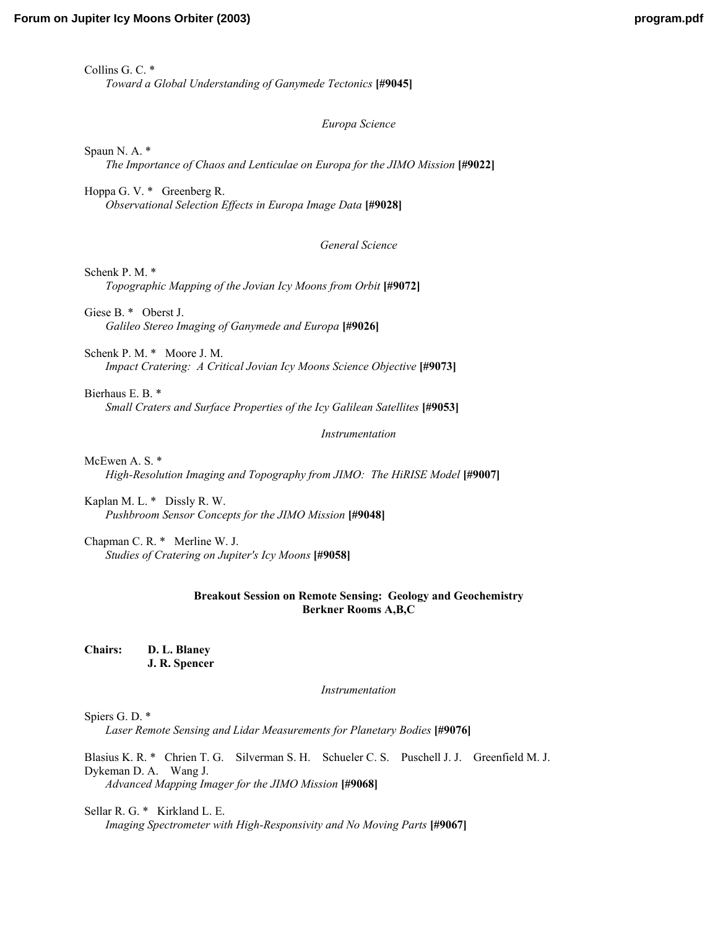Collins G. C. \* *[Toward a Global Understanding of Ganymede Tectonics](http://www.lpi.usra.edu/meetings/jimo2003/pdf/9045.pdf)* **[#9045]**

#### *Europa Science*

Spaun N. A. \* *[The Importance of Chaos and Lenticulae on Europa for the JIMO Mission](http://www.lpi.usra.edu/meetings/jimo2003/pdf/9022.pdf)* **[#9022]**

Hoppa G. V. \* Greenberg R. *[Observational Selection Effects in Europa Image Data](http://www.lpi.usra.edu/meetings/jimo2003/pdf/9028.pdf)* **[#9028]**

*General Science* 

Schenk P. M. \* *[Topographic Mapping of the Jovian Icy Moons from Orbit](http://www.lpi.usra.edu/meetings/jimo2003/pdf/9072.pdf)* **[#9072]**

Giese B. \* Oberst J. *[Galileo Stereo Imaging of Ganymede and Europa](http://www.lpi.usra.edu/meetings/jimo2003/pdf/9026.pdf)* **[#9026]**

Schenk P. M. \* Moore J. M. *[Impact Cratering: A Critical Jovian Icy Moons Science Objective](http://www.lpi.usra.edu/meetings/jimo2003/pdf/9073.pdf)* **[#9073]**

Bierhaus E. B. \* *[Small Craters and Surface Properties of the Icy Galilean Satellites](http://www.lpi.usra.edu/meetings/jimo2003/pdf/9053.pdf)* **[#9053]**

*Instrumentation* 

McEwen A. S. \* *[High-Resolution Imaging and Topography from JIMO: The HiRISE Model](http://www.lpi.usra.edu/meetings/jimo2003/pdf/9007.pdf)* **[#9007]**

Kaplan M. L. \* Dissly R. W. *[Pushbroom Sensor Concepts for the JIMO Mission](http://www.lpi.usra.edu/meetings/jimo2003/pdf/9048.pdf)* **[#9048]**

Chapman C. R. \* Merline W. J. *[Studies of Cratering on Jupiter's Icy Moons](http://www.lpi.usra.edu/meetings/jimo2003/pdf/9058.pdf)* **[#9058]**

## **Breakout Session on Remote Sensing: Geology and Geochemistry Berkner Rooms A,B,C**

**Chairs: D. L. Blaney J. R. Spencer**

### *Instrumentation*

Spiers G. D. \*

*[Laser Remote Sensing and Lidar Measurements for Planetary Bodies](http://www.lpi.usra.edu/meetings/jimo2003/pdf/9076.pdf)* **[#9076]**

[Blasius K. R. \\* Chrien T. G. Silverman S. H. Schueler C. S. Puschell J. J. Greenfield M. J.](http://www.lpi.usra.edu/meetings/jimo2003/pdf/9068.pdf)  Dykeman D. A. Wang J. *Advanced Mapping Imager for the JIMO Mission* **[#9068]**

Sellar R. G. \* Kirkland L. E. *[Imaging Spectrometer with High-Responsivity and No Moving Parts](http://www.lpi.usra.edu/meetings/jimo2003/pdf/9067.pdf)* **[#9067]**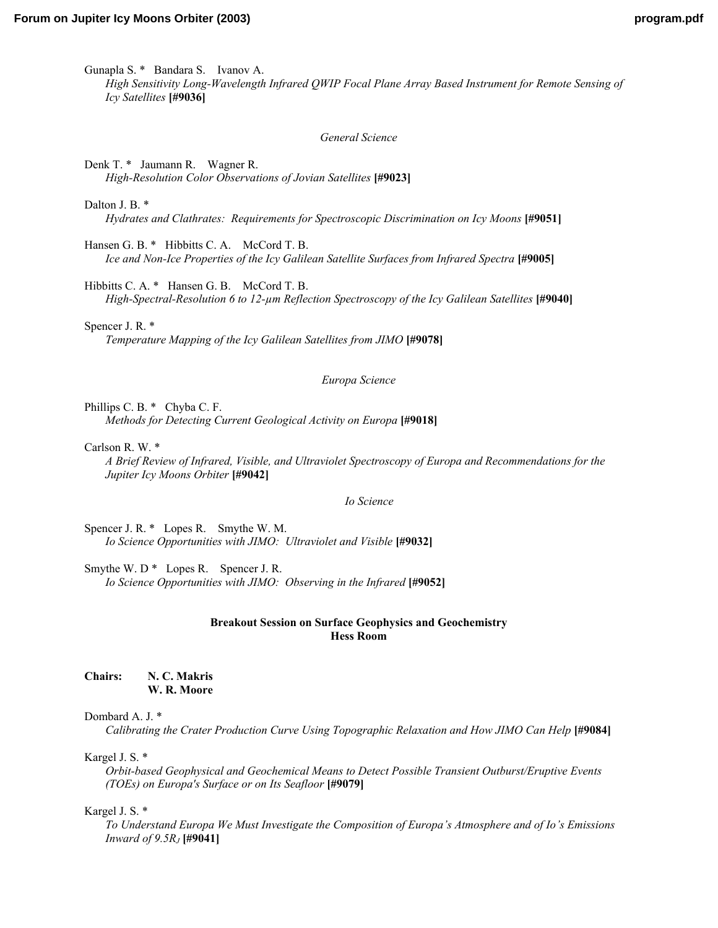Gunapla S. \* Bandara S. Ivanov A.

*[High Sensitivity Long-Wavelength Infrared QWIP Focal Plane Array Based Instrument for Remote Sensing of](http://www.lpi.usra.edu/meetings/jimo2003/pdf/9036.pdf)  Icy Satellites* **[#9036]**

*General Science* 

Denk T. \* Jaumann R. Wagner R. *[High-Resolution Color Observations of Jovian Satellites](http://www.lpi.usra.edu/meetings/jimo2003/pdf/9023.pdf)* **[#9023]**

Dalton J. B. \*

*[Hydrates and Clathrates: Requirements for Spectroscopic Discrimination on Icy Moons](http://www.lpi.usra.edu/meetings/jimo2003/pdf/9051.pdf)* **[#9051]**

Hansen G. B. \* Hibbitts C. A. McCord T. B. *[Ice and Non-Ice Properties of the Icy Galilean Satellite Surfaces from Infrared Spectra](http://www.lpi.usra.edu/meetings/jimo2003/pdf/9005.pdf)* **[#9005]**

Hibbitts C. A. \* Hansen G. B. McCord T. B. *[High-Spectral-Resolution 6 to 12-µm Reflection Spectroscopy of the Icy Galilean Satellites](http://www.lpi.usra.edu/meetings/jimo2003/pdf/9040.pdf)* **[#9040]**

Spencer J. R. \* *[Temperature Mapping of the Icy Galilean Satellites from JIMO](http://www.lpi.usra.edu/meetings/jimo2003/pdf/9078.pdf)* **[#9078]**

### *Europa Science*

Phillips C. B. \* Chyba C. F. *[Methods for Detecting Current Geological Activity on Europa](http://www.lpi.usra.edu/meetings/jimo2003/pdf/9018.pdf)* **[#9018]**

Carlson R. W. \*

*[A Brief Review of Infrared, Visible, and Ultraviolet Spectroscopy of Europa and Recommendations for the](http://www.lpi.usra.edu/meetings/jimo2003/pdf/9042.pdf)  Jupiter Icy Moons Orbiter* **[#9042]**

*Io Science* 

Spencer J. R. \* Lopes R. Smythe W. M. *[Io Science Opportunities with JIMO: Ultraviolet and Visible](http://www.lpi.usra.edu/meetings/jimo2003/pdf/9032.pdf)* **[#9032]**

Smythe W. D  $*$  Lopes R. Spencer J. R. *[Io Science Opportunities with JIMO: Observing in the Infrared](http://www.lpi.usra.edu/meetings/jimo2003/pdf/9052.pdf)* **[#9052]**

### **Breakout Session on Surface Geophysics and Geochemistry Hess Room**

**Chairs: N. C. Makris W. R. Moore**

Dombard A. J. \*

*[Calibrating the Crater Production Curve Using Topographic Relaxation and How JIMO Can Help](http://www.lpi.usra.edu/meetings/jimo2003/pdf/9084.pdf)* **[#9084]**

Kargel J. S. \*

*[Orbit-based Geophysical and Geochemical Means to Detect Possible Transient Outburst/Eruptive Events](http://www.lpi.usra.edu/meetings/jimo2003/pdf/9079.pdf)  (TOEs) on Europa's Surface or on Its Seafloor* **[#9079]**

Kargel J. S. \*

*[To Understand Europa We Must Investigate the Composition of Europa's Atmosphere and of Io's Emissions](http://www.lpi.usra.edu/meetings/jimo2003/pdf/9041.pdf)  Inward of 9.5RJ* **[#9041]**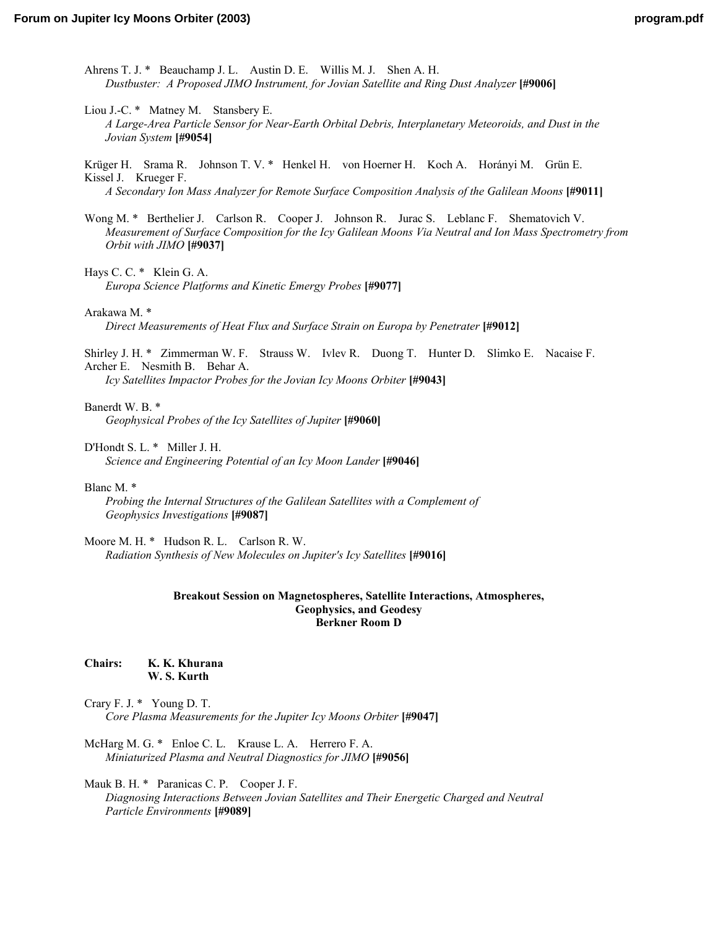- Ahrens T. J. \* Beauchamp J. L. Austin D. E. Willis M. J. Shen A. H. *[Dustbuster: A Proposed JIMO Instrument, for Jovian Satellite and Ring Dust Analyzer](http://www.lpi.usra.edu/meetings/jimo2003/pdf/9006.pdf)* **[#9006]**
- Liou J.-C. \* Matney M. Stansbery E. *[A Large-Area Particle Sensor for Near-Earth Orbital Debris, Interplanetary Meteoroids, and Dust in the](http://www.lpi.usra.edu/meetings/jimo2003/pdf/9054.pdf)  Jovian System* **[#9054]**

[Krüger H. Srama R. Johnson T. V. \\* Henkel H. von Hoerner H. Koch A. Horányi M. Grün E.](http://www.lpi.usra.edu/meetings/jimo2003/pdf/9011.pdf)  Kissel J. Krueger F. *A Secondary Ion Mass Analyzer for Remote Surface Composition Analysis of the Galilean Moons* **[#9011]**

Wong M. \* Berthelier J. Carlson R. Cooper J. Johnson R. Jurac S. Leblanc F. Shematovich V. *[Measurement of Surface Composition for the Icy Galilean Moons Via Neutral and Ion Mass Spectrometry from](http://www.lpi.usra.edu/meetings/jimo2003/pdf/9037.pdf)  Orbit with JIMO* **[#9037]**

Hays C. C. \* Klein G. A. *[Europa Science Platforms and Kinetic Emergy Probes](http://www.lpi.usra.edu/meetings/jimo2003/pdf/9077.pdf)* **[#9077]**

#### Arakawa M. \*

*[Direct Measurements of Heat Flux and Surface Strain on Europa by Penetrater](http://www.lpi.usra.edu/meetings/jimo2003/pdf/9012.pdf)* **[#9012]**

[Shirley J. H. \\* Zimmerman W. F. Strauss W. Ivlev R. Duong T. Hunter D. Slimko E. Nacaise F.](http://www.lpi.usra.edu/meetings/jimo2003/pdf/9043.pdf)  Archer E. Nesmith B. Behar A. *Icy Satellites Impactor Probes for the Jovian Icy Moons Orbiter* **[#9043]**

Banerdt W. B. \*

*[Geophysical Probes of the Icy Satellites of Jupiter](http://www.lpi.usra.edu/meetings/jimo2003/pdf/9060.pdf)* **[#9060]**

D'Hondt S. L. \* Miller J. H. *[Science and Engineering Potential of an Icy Moon Lander](http://www.lpi.usra.edu/meetings/jimo2003/pdf/9046.pdf)* **[#9046]**

Blanc M. \*

*[Probing the Internal Structures of the Galilean Satellites with a Complement of](http://www.lpi.usra.edu/meetings/jimo2003/pdf/9087.pdf)  Geophysics Investigations* **[#9087]**

Moore M. H. \* Hudson R. L. Carlson R. W. *[Radiation Synthesis of New Molecules on Jupiter's Icy Satellites](http://www.lpi.usra.edu/meetings/jimo2003/pdf/9016.pdf)* **[#9016]**

### **Breakout Session on Magnetospheres, Satellite Interactions, Atmospheres, Geophysics, and Geodesy Berkner Room D**

### **Chairs: K. K. Khurana W. S. Kurth**

Crary F. J. \* Young D. T. *[Core Plasma Measurements for the Jupiter Icy Moons Orbiter](http://www.lpi.usra.edu/meetings/jimo2003/pdf/9047.pdf)* **[#9047]**

[McHarg M. G. \\* Enloe C. L. Krause L. A. Herrero F. A.](http://www.lpi.usra.edu/meetings/jimo2003/pdf/9056.pdf)  *Miniaturized Plasma and Neutral Diagnostics for JIMO* **[#9056]**

Mauk B. H. \* Paranicas C. P. Cooper J. F.

*[Diagnosing Interactions Between Jovian Satellites and Their Energetic Charged and Neutral](http://www.lpi.usra.edu/meetings/jimo2003/pdf/9089.pdf)  Particle Environments* **[#9089]**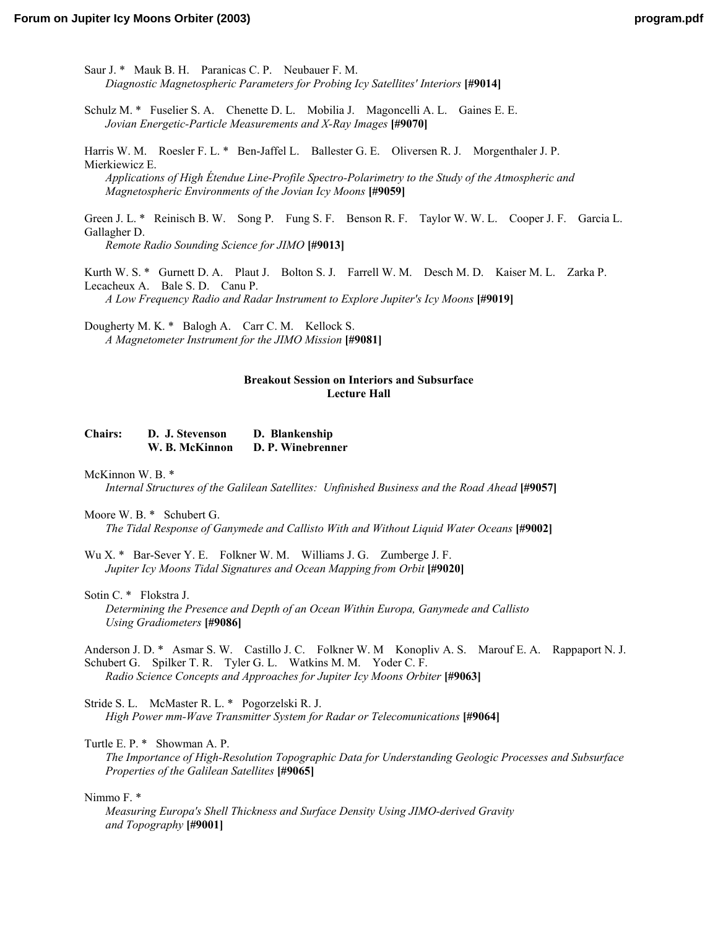Saur J. \* Mauk B. H. Paranicas C. P. Neubauer F. M. *[Diagnostic Magnetospheric Parameters for Probing Icy Satellites' Interiors](http://www.lpi.usra.edu/meetings/jimo2003/pdf/9014.pdf)* **[#9014]**

[Schulz M. \\* Fuselier S. A. Chenette D. L. Mobilia J. Magoncelli A. L. Gaines E. E.](http://www.lpi.usra.edu/meetings/jimo2003/pdf/9070.pdf)  *Jovian Energetic-Particle Measurements and X-Ray Images* **[#9070]**

Harris W. M. Roesler F. L. \* Ben-Jaffel L. Ballester G. E. Oliversen R. J. Morgenthaler J. P. Mierkiewicz E.

*Applications of High Étendue Line-Profile Spectro-Polarimetry to the Study of the Atmospheric and Magnetospheric Environments of the Jovian Icy Moons* **[#9059]**

Green J. L. \* Reinisch B. W. Song P. Fung S. F. Benson R. F. Taylor W. W. L. Cooper J. F. Garcia L. Gallagher D.

*Remote Radio Sounding Science for JIMO* **[#9013]**

[Kurth W. S. \\* Gurnett D. A. Plaut J. Bolton S. J. Farrell W. M. Desch M. D. Kaiser M. L. Zarka P.](http://www.lpi.usra.edu/meetings/jimo2003/pdf/9019.pdf)  Lecacheux A. Bale S. D. Canu P. *A Low Frequency Radio and Radar Instrument to Explore Jupiter's Icy Moons* **[#9019]**

[Dougherty M. K. \\* Balogh A. Carr C. M. Kellock S.](http://www.lpi.usra.edu/meetings/jimo2003/pdf/9081.pdf)  *A Magnetometer Instrument for the JIMO Mission* **[#9081]**

### **Breakout Session on Interiors and Subsurface Lecture Hall**

### **Chairs: D. J. Stevenson D. Blankenship W. B. McKinnon D. P. Winebrenner**

### McKinnon W. B. \*

*[Internal Structures of the Galilean Satellites: Unfinished Business and the Road Ahead](http://www.lpi.usra.edu/meetings/jimo2003/pdf/9057.pdf)* **[#9057]**

### Moore W. B. \* Schubert G.

*[The Tidal Response of Ganymede and Callisto With and Without Liquid Water Oceans](http://www.lpi.usra.edu/meetings/jimo2003/pdf/9002.pdf)* **[#9002]**

[Wu X. \\* Bar-Sever Y. E. Folkner W. M. Williams J. G. Zumberge J. F.](http://www.lpi.usra.edu/meetings/jimo2003/pdf/9020.pdf)  *Jupiter Icy Moons Tidal Signatures and Ocean Mapping from Orbit* **[#9020]**

## Sotin C. \* Flokstra J.

*[Determining the Presence and Depth of an Ocean Within Europa, Ganymede and Callisto](http://www.lpi.usra.edu/meetings/jimo2003/pdf/9086.pdf)  Using Gradiometers* **[#9086]**

## Anderson J. D. \* Asmar S. W. Castillo J. C. Folkner W. M Konopliv A. S. Marouf E. A. Rappaport N. J. Schubert G. Spilker T. R. Tyler G. L. Watkins M. M. Yoder C. F.

*Radio Science Concepts and Approaches for Jupiter Icy Moons Orbiter* **[#9063]**

Stride S. L. McMaster R. L. \* Pogorzelski R. J.

*[High Power mm-Wave Transmitter System for Radar or Telecomunications](http://www.lpi.usra.edu/meetings/jimo2003/pdf/9064.pdf)* **[#9064]**

## Turtle E. P. \* Showman A. P.

*[The Importance of High-Resolution Topographic Data for Understanding Geologic Processes and Subsurface](http://www.lpi.usra.edu/meetings/jimo2003/pdf/9065.pdf)  Properties of the Galilean Satellites* **[#9065]**

### Nimmo F. \*

*[Measuring Europa's Shell Thickness and Surface Density Using JIMO-derived Gravity](http://www.lpi.usra.edu/meetings/jimo2003/pdf/9001.pdf)  and Topography* **[#9001]**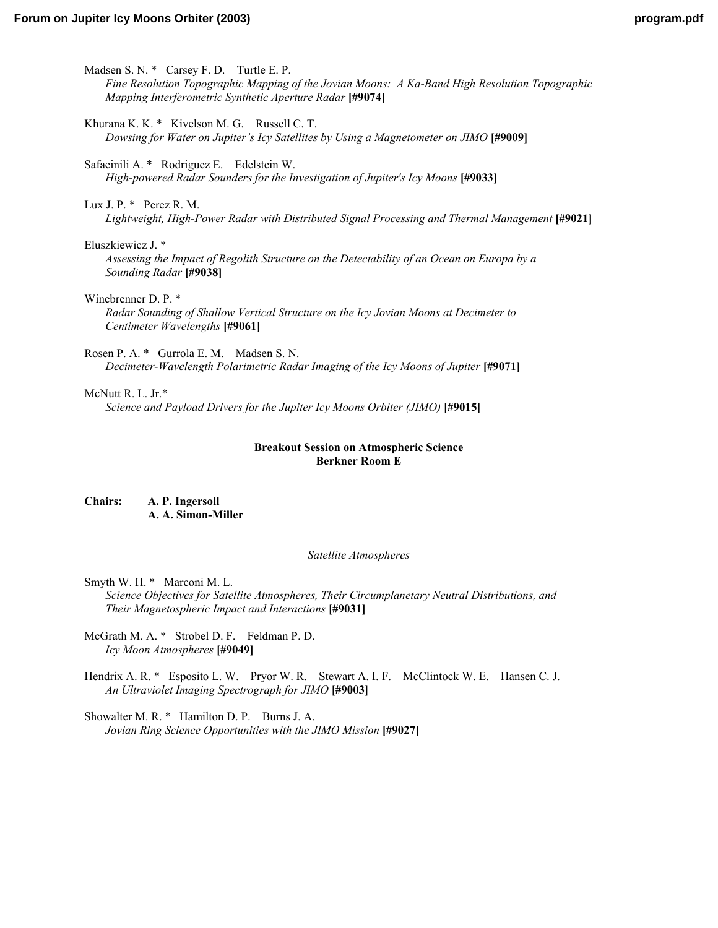Madsen S. N. \* Carsey F. D. Turtle E. P. *[Fine Resolution Topographic Mapping of the Jovian Moons: A Ka-Band High Resolution Topographic](http://www.lpi.usra.edu/meetings/jimo2003/pdf/9074.pdf)  Mapping Interferometric Synthetic Aperture Radar* **[#9074]**

Khurana K. K. \* Kivelson M. G. Russell C. T. *[Dowsing for Water on Jupiter's Icy Satellites by Using a Magnetometer on JIMO](http://www.lpi.usra.edu/meetings/jimo2003/pdf/9009.pdf)* **[#9009]**

Safaeinili A. \* Rodriguez E. Edelstein W. *[High-powered Radar Sounders for the Investigation of Jupiter's Icy Moons](http://www.lpi.usra.edu/meetings/jimo2003/pdf/9033.pdf)* **[#9033]**

Lux J. P. \* Perez R. M.

*[Lightweight, High-Power Radar with Distributed Signal Processing and Thermal Management](http://www.lpi.usra.edu/meetings/jimo2003/pdf/9021.pdf)* **[#9021]**

Eluszkiewicz J. \*

*[Assessing the Impact of Regolith Structure on the Detectability of an Ocean on Europa by a](http://www.lpi.usra.edu/meetings/jimo2003/pdf/9038.pdf)  Sounding Radar* **[#9038]**

Winebrenner D. P. \*

*[Radar Sounding of Shallow Vertical Structure on the Icy Jovian Moons at Decimeter to](http://www.lpi.usra.edu/meetings/jimo2003/pdf/9061.pdf)  Centimeter Wavelengths* **[#9061]**

Rosen P. A. \* Gurrola E. M. Madsen S. N. *[Decimeter-Wavelength Polarimetric Radar Imaging of the Icy Moons of Jupiter](http://www.lpi.usra.edu/meetings/jimo2003/pdf/9071.pdf)* **[#9071]**

## McNutt R. L. Jr.\*

*[Science and Payload Drivers for the Jupiter Icy Moons Orbiter \(JIMO\)](http://www.lpi.usra.edu/meetings/jimo2003/pdf/9015.pdf)* **[#9015]**

## **Breakout Session on Atmospheric Science Berkner Room E**

**Chairs: A. P. Ingersoll A. A. Simon-Miller**

*Satellite Atmospheres* 

Smyth W. H. \* Marconi M. L. *[Science Objectives for Satellite Atmospheres, Their Circumplanetary Neutral Distributions, and](http://www.lpi.usra.edu/meetings/jimo2003/pdf/9031.pdf)  Their Magnetospheric Impact and Interactions* **[#9031]**

[McGrath M. A. \\* Strobel D. F. Feldman P. D.](http://www.lpi.usra.edu/meetings/jimo2003/pdf/9049.pdf)  *Icy Moon Atmospheres* **[#9049]**

[Hendrix A. R. \\* Esposito L. W. Pryor W. R. Stewart A. I. F. McClintock W. E. Hansen C. J.](http://www.lpi.usra.edu/meetings/jimo2003/pdf/9003.pdf)  *An Ultraviolet Imaging Spectrograph for JIMO* **[#9003]**

Showalter M. R. \* Hamilton D. P. Burns J. A. *[Jovian Ring Science Opportunities with the JIMO Mission](http://www.lpi.usra.edu/meetings/jimo2003/pdf/9027.pdf)* **[#9027]**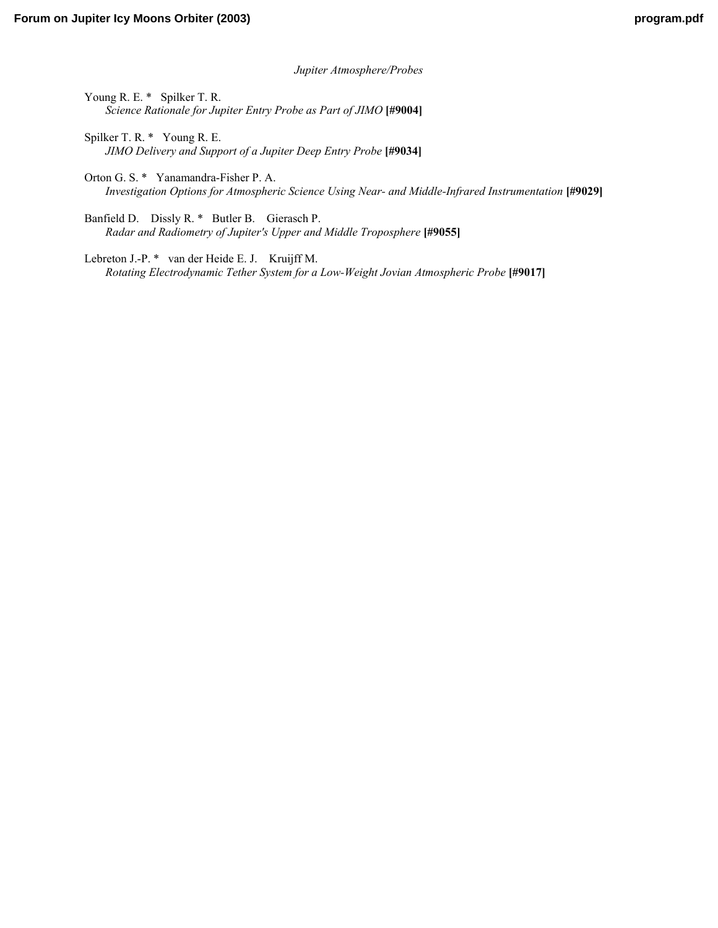## *Jupiter Atmosphere/Probes*

Young R. E. \* Spilker T. R. *[Science Rationale for Jupiter Entry Probe as Part of JIMO](http://www.lpi.usra.edu/meetings/jimo2003/pdf/9004.pdf)* **[#9004]**

Spilker T. R. \* Young R. E. *[JIMO Delivery and Support of a Jupiter Deep Entry Probe](http://www.lpi.usra.edu/meetings/jimo2003/pdf/9034.pdf)* **[#9034]**

Orton G. S. \* Yanamandra-Fisher P. A. *[Investigation Options for Atmospheric Science Using Near- and Middle-Infrared Instrumentation](http://www.lpi.usra.edu/meetings/jimo2003/pdf/9029.pdf)* **[#9029]**

Banfield D. Dissly R. \* Butler B. Gierasch P. *[Radar and Radiometry of Jupiter's Upper and Middle Troposphere](http://www.lpi.usra.edu/meetings/jimo2003/pdf/9055.pdf)* **[#9055]**

Lebreton J.-P. \* van der Heide E. J. Kruijff M. *[Rotating Electrodynamic Tether System for a Low-Weight Jovian Atmospheric Probe](http://www.lpi.usra.edu/meetings/jimo2003/pdf/9017.pdf)* **[#9017]**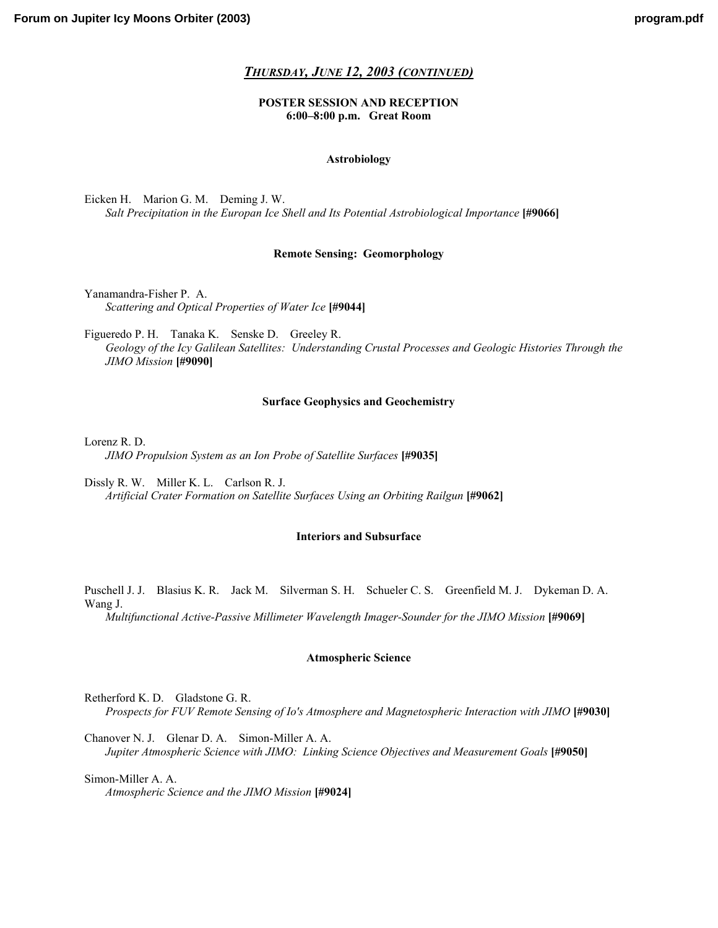## *THURSDAY, JUNE 12, 2003 (CONTINUED)*

## **POSTER SESSION AND RECEPTION 6:00–8:00 p.m. Great Room**

### **Astrobiology**

Eicken H. Marion G. M. Deming J. W. *[Salt Precipitation in the Europan Ice Shell and Its Potential Astrobiological Importance](http://www.lpi.usra.edu/meetings/jimo2003/pdf/9066.pdf)* **[#9066]**

### **Remote Sensing: Geomorphology**

Yanamandra-Fisher P. A. *[Scattering and Optical Properties of Water Ice](http://www.lpi.usra.edu/meetings/jimo2003/pdf/9044.pdf)* **[#9044]**

Figueredo P. H. Tanaka K. Senske D. Greeley R. *[Geology of the Icy Galilean Satellites: Understanding Crustal Processes and Geologic Histories Through the](http://www.lpi.usra.edu/meetings/jimo2003/pdf/9090.pdf)  JIMO Mission* **[#9090]**

### **Surface Geophysics and Geochemistry**

Lorenz R. D. *[JIMO Propulsion System as an Ion Probe of Satellite Surfaces](http://www.lpi.usra.edu/meetings/jimo2003/pdf/9035.pdf)* **[#9035]**

Dissly R. W. Miller K. L. Carlson R. J. *[Artificial Crater Formation on Satellite Surfaces Using an Orbiting Railgun](http://www.lpi.usra.edu/meetings/jimo2003/pdf/9062.pdf)* **[#9062]**

### **Interiors and Subsurface**

[Puschell J. J. Blasius K. R. Jack M. Silverman S. H. Schueler C. S. Greenfield M. J. Dykeman D. A.](http://www.lpi.usra.edu/meetings/jimo2003/pdf/9069.pdf)  Wang J.

*Multifunctional Active-Passive Millimeter Wavelength Imager-Sounder for the JIMO Mission* **[#9069]**

### **Atmospheric Science**

Retherford K. D. Gladstone G. R.

*[Prospects for FUV Remote Sensing of Io's Atmosphere and Magnetospheric Interaction with JIMO](http://www.lpi.usra.edu/meetings/jimo2003/pdf/9030.pdf)* **[#9030]**

Chanover N. J. Glenar D. A. Simon-Miller A. A. *[Jupiter Atmospheric Science with JIMO: Linking Science Objectives and Measurement Goals](http://www.lpi.usra.edu/meetings/jimo2003/pdf/9050.pdf)* **[#9050]**

Simon-Miller A. A.

*[Atmospheric Science and the JIMO Mission](http://www.lpi.usra.edu/meetings/jimo2003/pdf/9024.pdf)* **[#9024]**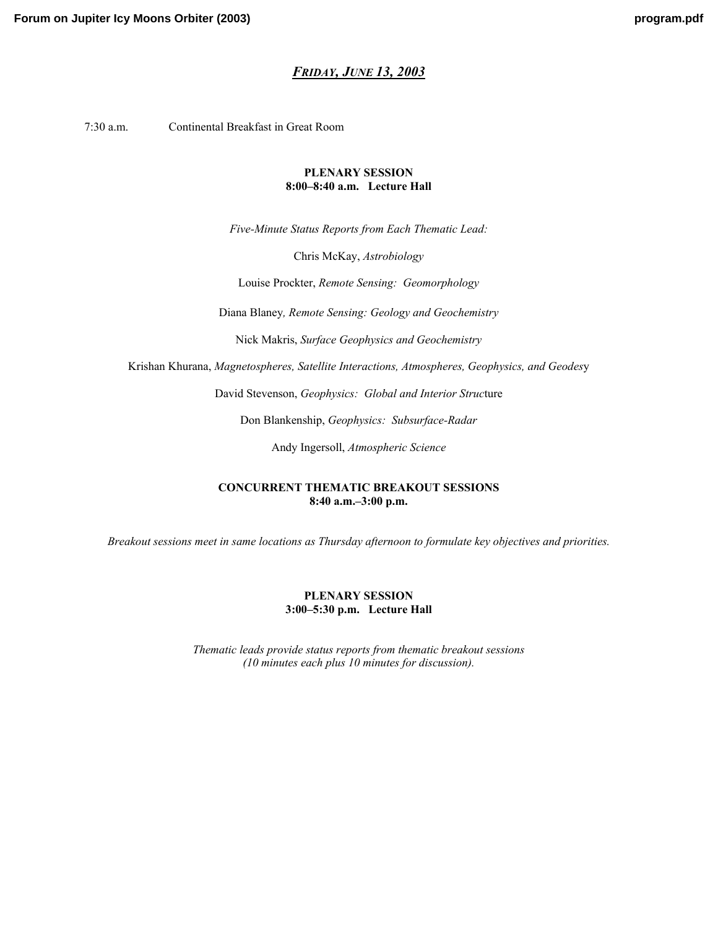## *FRIDAY, JUNE 13, 2003*

7:30 a.m. Continental Breakfast in Great Room

## **PLENARY SESSION 8:00–8:40 a.m. Lecture Hall**

*Five-Minute Status Reports from Each Thematic Lead:* 

Chris McKay, *Astrobiology*

Louise Prockter, *Remote Sensing: Geomorphology* 

Diana Blaney*, Remote Sensing: Geology and Geochemistry* 

Nick Makris, *Surface Geophysics and Geochemistry*

Krishan Khurana, *Magnetospheres, Satellite Interactions, Atmospheres, Geophysics, and Geodes*y

David Stevenson, *Geophysics: Global and Interior Struc*ture

Don Blankenship, *Geophysics: Subsurface-Radar*

Andy Ingersoll, *Atmospheric Science*

## **CONCURRENT THEMATIC BREAKOUT SESSIONS 8:40 a.m.–3:00 p.m.**

*Breakout sessions meet in same locations as Thursday afternoon to formulate key objectives and priorities.* 

## **PLENARY SESSION 3:00–5:30 p.m. Lecture Hall**

*Thematic leads provide status reports from thematic breakout sessions (10 minutes each plus 10 minutes for discussion).*